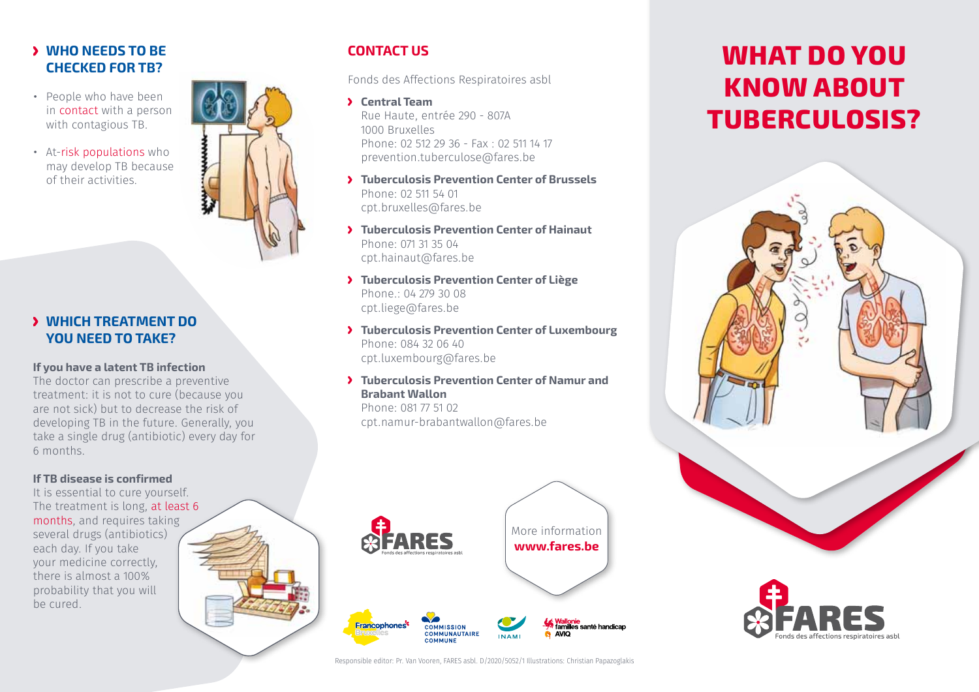## **Y WHO NEEDS TO BE checked for TB?**

- • People who have been in contact with a person with contagious TB.
- • At-risk populations who may develop TB because of their activities.

### **Which treatment do you need to take?**

#### **If you have a latent TB infection**

The doctor can prescribe a preventive treatment: it is not to cure (because you are not sick) but to decrease the risk of developing TB in the future. Generally, you take a single drug (antibiotic) every day for 6 months.

### **If TB disease is confirmed**

It is essential to cure yourself. The treatment is long, at least 6 months, and requires taking several drugs (antibiotics) each day. If you take your medicine correctly, there is almost a 100% probability that you will be cured.

## **CONTACT US**

Fonds des Affections Respiratoires asbl

- **Central Team** Rue Haute, entrée 290 - 807A 1000 Bruxelles Phone: 02 512 29 36 - Fax : 02 511 14 17 prevention.tuberculose@fares.be
- **Tuberculosis Prevention Center of Brussels** Phone: 02 511 54 01 cpt.bruxelles@fares.be
- **Tuberculosis Prevention Center of Hainaut** Phone: 071 31 35 04 cpt.hainaut@fares.be
- **Tuberculosis Prevention Center of Liège** Phone.: 04 279 30 08 cpt.liege@fares.be
- **Tuberculosis Prevention Center of Luxembourg** Phone: 084 32 06 40 cpt.luxembourg@fares.be
- **Tuberculosis Prevention Center of Namur and Brabant Wallon**

Phone: 081 77 51 02 cpt.namur-brabantwallon@fares.be



# **What do you know about Tuberculosis?**